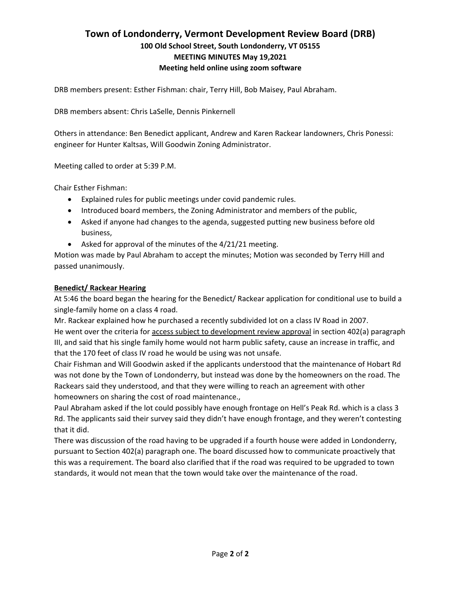# **Town of Londonderry, Vermont Development Review Board (DRB) 100 Old School Street, South Londonderry, VT 05155 MEETING MINUTES May 19,2021 Meeting held online using zoom software**

DRB members present: Esther Fishman: chair, Terry Hill, Bob Maisey, Paul Abraham.

DRB members absent: Chris LaSelle, Dennis Pinkernell

Others in attendance: Ben Benedict applicant, Andrew and Karen Rackear landowners, Chris Ponessi: engineer for Hunter Kaltsas, Will Goodwin Zoning Administrator.

Meeting called to order at 5:39 P.M.

Chair Esther Fishman:

- Explained rules for public meetings under covid pandemic rules.
- Introduced board members, the Zoning Administrator and members of the public,
- Asked if anyone had changes to the agenda, suggested putting new business before old business,
- Asked for approval of the minutes of the 4/21/21 meeting.

Motion was made by Paul Abraham to accept the minutes; Motion was seconded by Terry Hill and passed unanimously.

### **Benedict/ Rackear Hearing**

At 5:46 the board began the hearing for the Benedict/ Rackear application for conditional use to build a single-family home on a class 4 road.

Mr. Rackear explained how he purchased a recently subdivided lot on a class IV Road in 2007. He went over the criteria for access subject to development review approval in section 402(a) paragraph III, and said that his single family home would not harm public safety, cause an increase in traffic, and that the 170 feet of class IV road he would be using was not unsafe.

Chair Fishman and Will Goodwin asked if the applicants understood that the maintenance of Hobart Rd was not done by the Town of Londonderry, but instead was done by the homeowners on the road. The Rackears said they understood, and that they were willing to reach an agreement with other homeowners on sharing the cost of road maintenance.,

Paul Abraham asked if the lot could possibly have enough frontage on Hell's Peak Rd. which is a class 3 Rd. The applicants said their survey said they didn't have enough frontage, and they weren't contesting that it did.

There was discussion of the road having to be upgraded if a fourth house were added in Londonderry, pursuant to Section 402(a) paragraph one. The board discussed how to communicate proactively that this was a requirement. The board also clarified that if the road was required to be upgraded to town standards, it would not mean that the town would take over the maintenance of the road.